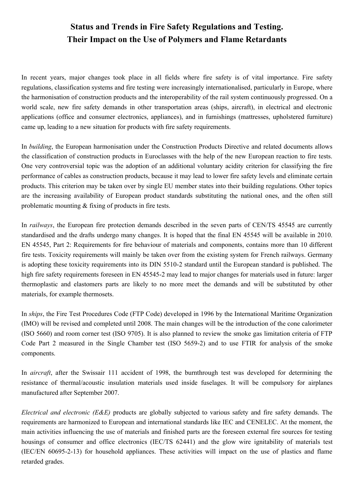## **Status and Trends in Fire Safety Regulations and Testing. Their Impact on the Use of Polymers and Flame Retardants**

In recent years, major changes took place in all fields where fire safety is of vital importance. Fire safety regulations, classification systems and fire testing were increasingly internationalised, particularly in Europe, where the harmonisation of construction products and the interoperability of the rail system continuously progressed. On a world scale, new fire safety demands in other transportation areas (ships, aircraft), in electrical and electronic applications (office and consumer electronics, appliances), and in furnishings (mattresses, upholstered furniture) came up, leading to a new situation for products with fire safety requirements.

In *building*, the European harmonisation under the Construction Products Directive and related documents allows the classification of construction products in Euroclasses with the help of the new European reaction to fire tests. One very controversial topic was the adoption of an additional voluntary acidity criterion for classifying the fire performance of cables as construction products, because it may lead to lower fire safety levels and eliminate certain products. This criterion may be taken over by single EU member states into their building regulations. Other topics are the increasing availability of European product standards substituting the national ones, and the often still problematic mounting & fixing of products in fire tests.

In *railways*, the European fire protection demands described in the seven parts of CEN/TS 45545 are currently standardised and the drafts undergo many changes. It is hoped that the final EN 45545 will be available in 2010. EN 45545, Part 2: Requirements for fire behaviour of materials and components, contains more than 10 different fire tests. Toxicity requirements will mainly be taken over from the existing system for French railways. Germany is adopting these toxicity requirements into its DIN 5510-2 standard until the European standard is published. The high fire safety requirements foreseen in EN 45545-2 may lead to major changes for materials used in future: larger thermoplastic and elastomers parts are likely to no more meet the demands and will be substituted by other materials, for example thermosets.

In *ships*, the Fire Test Procedures Code (FTP Code) developed in 1996 by the International Maritime Organization (IMO) will be revised and completed until 2008. The main changes will be the introduction of the cone calorimeter (ISO 5660) and room corner test (ISO 9705). It is also planned to review the smoke gas limitation criteria of FTP Code Part 2 measured in the Single Chamber test (ISO 5659-2) and to use FTIR for analysis of the smoke components.

In *aircraft*, after the Swissair 111 accident of 1998, the burnthrough test was developed for determining the resistance of thermal/acoustic insulation materials used inside fuselages. It will be compulsory for airplanes manufactured after September 2007.

*Electrical and electronic (E&E)* products are globally subjected to various safety and fire safety demands. The requirements are harmonized to European and international standards like IEC and CENELEC. At the moment, the main activities influencing the use of materials and finished parts are the foreseen external fire sources for testing housings of consumer and office electronics (IEC/TS 62441) and the glow wire ignitability of materials test (IEC/EN 60695-2-13) for household appliances. These activities will impact on the use of plastics and flame retarded grades.